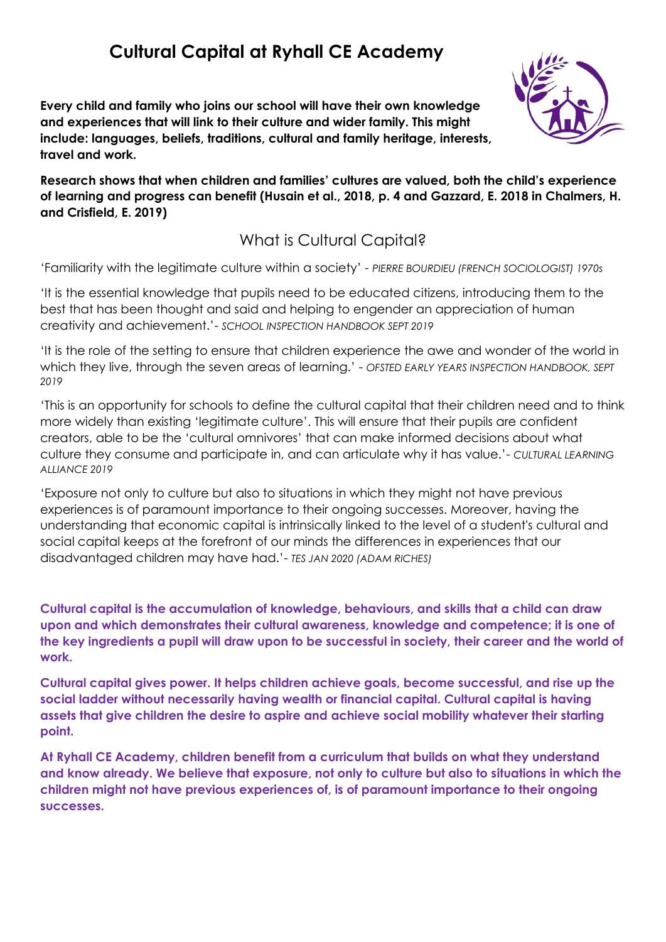## **Cultural Capital at Ryhall CE Academy**

**Every child and family who joins our school will have their own knowledge and experiences that will link to their culture and wider family. This might include: languages, beliefs, traditions, cultural and family heritage, interests, travel and work.**



**Research shows that when children and families' cultures are valued, both the child's experience of learning and progress can benefit (Husain et al., 2018, p. 4 and Gazzard, E. 2018 in Chalmers, H. and Crisfield, E. 2019)**

## What is Cultural Capital?

'Familiarity with the legitimate culture within a society' - *PIERRE BOURDIEU (FRENCH SOCIOLOGIST) 1970s* 

'It is the essential knowledge that pupils need to be educated citizens, introducing them to the best that has been thought and said and helping to engender an appreciation of human creativity and achievement.'- *SCHOOL INSPECTION HANDBOOK SEPT 2019*

'It is the role of the setting to ensure that children experience the awe and wonder of the world in which they live, through the seven areas of learning.' - *OFSTED EARLY YEARS INSPECTION HANDBOOK, SEPT 2019* 

'This is an opportunity for schools to define the cultural capital that their children need and to think more widely than existing 'legitimate culture'. This will ensure that their pupils are confident creators, able to be the 'cultural omnivores' that can make informed decisions about what culture they consume and participate in, and can articulate why it has value.'- *CULTURAL LEARNING ALLIANCE 2019* 

'Exposure not only to culture but also to situations in which they might not have previous experiences is of paramount importance to their ongoing successes. Moreover, having the understanding that economic capital is intrinsically linked to the level of a student's cultural and social capital keeps at the forefront of our minds the differences in experiences that our disadvantaged children may have had.'- *TES JAN 2020 (ADAM RICHES)*

**Cultural capital is the accumulation of knowledge, behaviours, and skills that a child can draw upon and which demonstrates their cultural awareness, knowledge and competence; it is one of the key ingredients a pupil will draw upon to be successful in society, their career and the world of work.**

**Cultural capital gives power. It helps children achieve goals, become successful, and rise up the social ladder without necessarily having wealth or financial capital. Cultural capital is having assets that give children the desire to aspire and achieve social mobility whatever their starting point.**

**At Ryhall CE Academy, children benefit from a curriculum that builds on what they understand and know already. We believe that exposure, not only to culture but also to situations in which the children might not have previous experiences of, is of paramount importance to their ongoing successes.**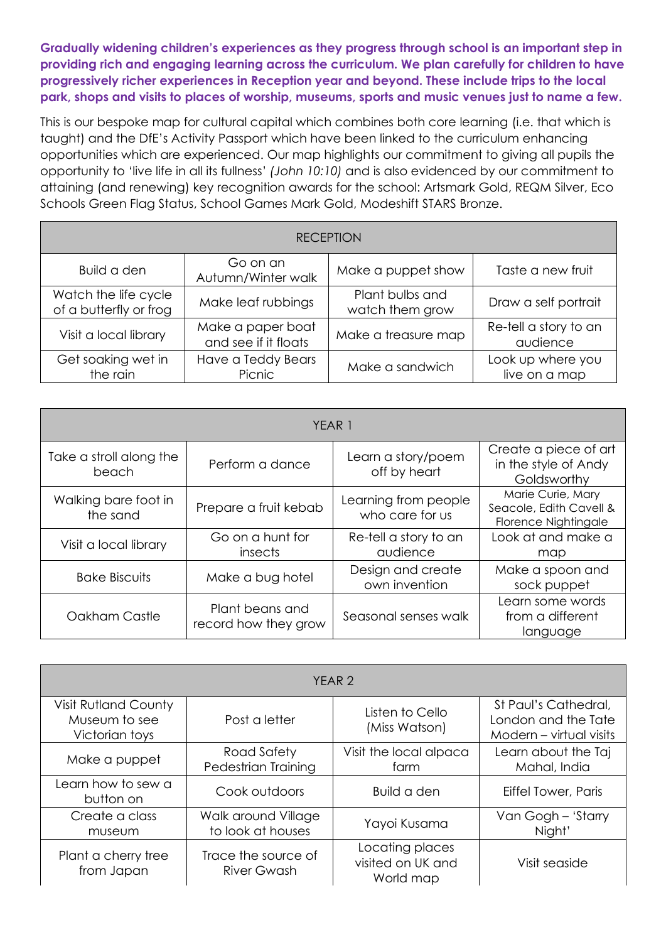**Gradually widening children's experiences as they progress through school is an important step in providing rich and engaging learning across the curriculum. We plan carefully for children to have progressively richer experiences in Reception year and beyond. These include trips to the local park, shops and visits to places of worship, museums, sports and music venues just to name a few.**

This is our bespoke map for cultural capital which combines both core learning (i.e. that which is taught) and the DfE's Activity Passport which have been linked to the curriculum enhancing opportunities which are experienced. Our map highlights our commitment to giving all pupils the opportunity to 'live life in all its fullness' *(John 10:10)* and is also evidenced by our commitment to attaining (and renewing) key recognition awards for the school: Artsmark Gold, REQM Silver, Eco Schools Green Flag Status, School Games Mark Gold, Modeshift STARS Bronze.

| <b>RECEPTION</b>                               |                                           |                                    |                                    |  |
|------------------------------------------------|-------------------------------------------|------------------------------------|------------------------------------|--|
| Build a den                                    | Go on an<br>Autumn/Winter walk            | Make a puppet show                 | Taste a new fruit                  |  |
| Watch the life cycle<br>of a butterfly or frog | Make leaf rubbings                        | Plant bulbs and<br>watch them grow | Draw a self portrait               |  |
| Visit a local library                          | Make a paper boat<br>and see if it floats | Make a treasure map                | Re-tell a story to an<br>audience  |  |
| Get soaking wet in<br>the rain                 | Have a Teddy Bears<br>Picnic              | Make a sandwich                    | Look up where you<br>live on a map |  |

| YEAR 1                           |                                         |                                         |                                                                      |  |
|----------------------------------|-----------------------------------------|-----------------------------------------|----------------------------------------------------------------------|--|
| Take a stroll along the<br>beach | Perform a dance                         | Learn a story/poem<br>off by heart      | Create a piece of art<br>in the style of Andy<br>Goldsworthy         |  |
| Walking bare foot in<br>the sand | Prepare a fruit kebab                   | Learning from people<br>who care for us | Marie Curie, Mary<br>Seacole, Edith Cavell &<br>Florence Nightingale |  |
| Visit a local library            | Go on a hunt for<br>insects             | Re-tell a story to an<br>audience       | Look at and make a<br>map                                            |  |
| <b>Bake Biscuits</b>             | Make a bug hotel                        | Design and create<br>own invention      | Make a spoon and<br>sock puppet                                      |  |
| Oakham Castle                    | Plant beans and<br>record how they grow | Seasonal senses walk                    | Learn some words<br>from a different<br>language                     |  |

| YEAR <sub>2</sub>                                              |                                           |                                                   |                                                                        |  |
|----------------------------------------------------------------|-------------------------------------------|---------------------------------------------------|------------------------------------------------------------------------|--|
| <b>Visit Rutland County</b><br>Museum to see<br>Victorian toys | Post a letter                             | Listen to Cello<br>(Miss Watson)                  | St Paul's Cathedral,<br>London and the Tate<br>Modern - virtual visits |  |
| Make a puppet                                                  | Road Safety<br>Pedestrian Training        | Visit the local alpaca<br>farm                    | Learn about the Taj<br>Mahal, India                                    |  |
| Learn how to sew a<br>button on                                | Cook outdoors                             | Build a den                                       | Eiffel Tower, Paris                                                    |  |
| Create a class<br>museum                                       | Walk around Village<br>to look at houses  | Yayoi Kusama                                      | Van Gogh - 'Starry<br>Night'                                           |  |
| Plant a cherry tree<br>from Japan                              | Trace the source of<br><b>River Gwash</b> | Locating places<br>visited on UK and<br>World map | Visit seaside                                                          |  |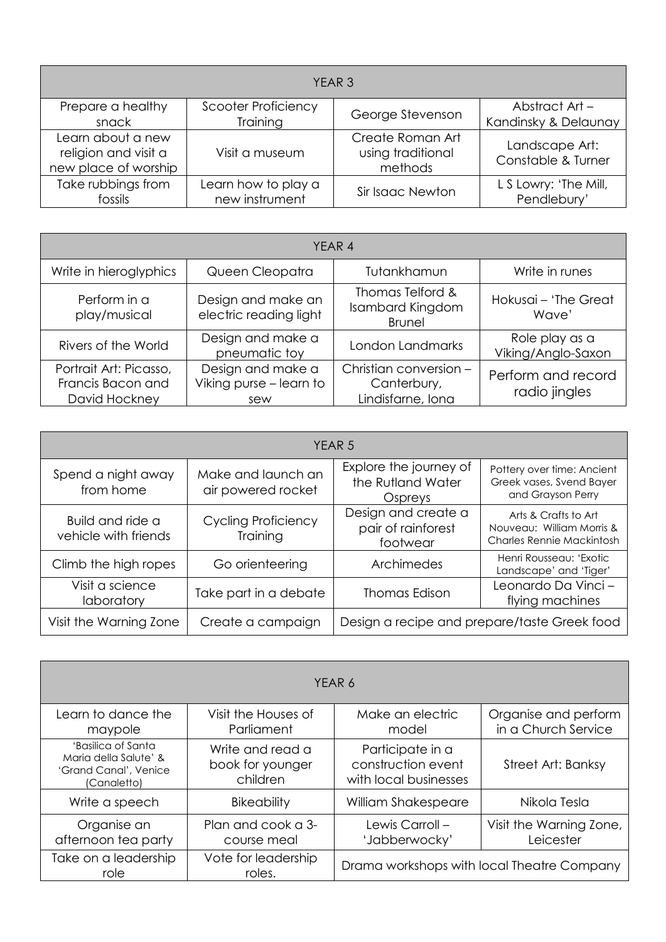| YEAR <sub>3</sub>                                                 |                            |                                                  |                                      |  |
|-------------------------------------------------------------------|----------------------------|--------------------------------------------------|--------------------------------------|--|
| Prepare a healthy                                                 | <b>Scooter Proficiency</b> | George Stevenson                                 | Abstract Art -                       |  |
| snack                                                             | Training                   |                                                  | Kandinsky & Delaunay                 |  |
| Learn about a new<br>religion and visit a<br>new place of worship | Visit a museum             | Create Roman Art<br>using traditional<br>methods | Landscape Art:<br>Constable & Turner |  |
| Take rubbings from                                                | Learn how to play a        | Sir Isaac Newton                                 | L S Lowry: 'The Mill,                |  |
| fossils                                                           | new instrument             |                                                  | Pendlebury'                          |  |

| YEAR 4                                                       |                                                     |                                                              |                                      |
|--------------------------------------------------------------|-----------------------------------------------------|--------------------------------------------------------------|--------------------------------------|
| Write in hieroglyphics                                       | Queen Cleopatra                                     | Tutankhamun                                                  | Write in runes                       |
| Perform in a<br>play/musical                                 | Design and make an<br>electric reading light        | Thomas Telford &<br><b>Isambard Kingdom</b><br><b>Brunel</b> | Hokusai - 'The Great<br>Wave'        |
| Rivers of the World                                          | Design and make a<br>pneumatic toy                  | London Landmarks                                             | Role play as a<br>Viking/Anglo-Saxon |
| Portrait Art: Picasso,<br>Francis Bacon and<br>David Hockney | Design and make a<br>Viking purse - learn to<br>sew | Christian conversion -<br>Canterbury,<br>Lindisfarne, Iona   | Perform and record<br>radio jingles  |

| YEAR <sub>5</sub>                        |                                          |                                                        |                                                                                       |
|------------------------------------------|------------------------------------------|--------------------------------------------------------|---------------------------------------------------------------------------------------|
| Spend a night away<br>from home          | Make and launch an<br>air powered rocket | Explore the journey of<br>the Rutland Water<br>Ospreys | Pottery over time: Ancient<br>Greek vases, Svend Bayer<br>and Grayson Perry           |
| Build and ride a<br>vehicle with friends | <b>Cycling Proficiency</b><br>Training   | Design and create a<br>pair of rainforest<br>footwear  | Arts & Crafts to Art<br>Nouveau: William Morris &<br><b>Charles Rennie Mackintosh</b> |
| Climb the high ropes                     | Go orienteering                          | Archimedes                                             | Henri Rousseau: 'Exotic<br>Landscape' and 'Tiger'                                     |
| Visit a science<br>laboratory            | Take part in a debate                    | <b>Thomas Edison</b>                                   | Leonardo Da Vinci -<br>flying machines                                                |
| Visit the Warning Zone                   | Create a campaign                        |                                                        | Design a recipe and prepare/taste Greek food                                          |

| YEAR 6                                                                              |                                                  |                                                                 |                                             |
|-------------------------------------------------------------------------------------|--------------------------------------------------|-----------------------------------------------------------------|---------------------------------------------|
| Learn to dance the<br>maypole                                                       | Visit the Houses of<br>Parliament                | Make an electric<br>model                                       | Organise and perform<br>in a Church Service |
| 'Basilica of Santa<br>Maria della Salute' &<br>'Grand Canal', Venice<br>(Canaletto) | Write and read a<br>book for younger<br>children | Participate in a<br>construction event<br>with local businesses | Street Art: Banksy                          |
| Write a speech                                                                      | <b>Bikeability</b>                               | William Shakespeare                                             | Nikola Tesla                                |
| Organise an<br>afternoon tea party                                                  | Plan and cook a 3-<br>course meal                | Lewis Carroll-<br>'Jabberwocky'                                 | Visit the Warning Zone,<br>Leicester        |
| Take on a leadership<br>role                                                        | Vote for leadership<br>roles.                    |                                                                 | Drama workshops with local Theatre Company  |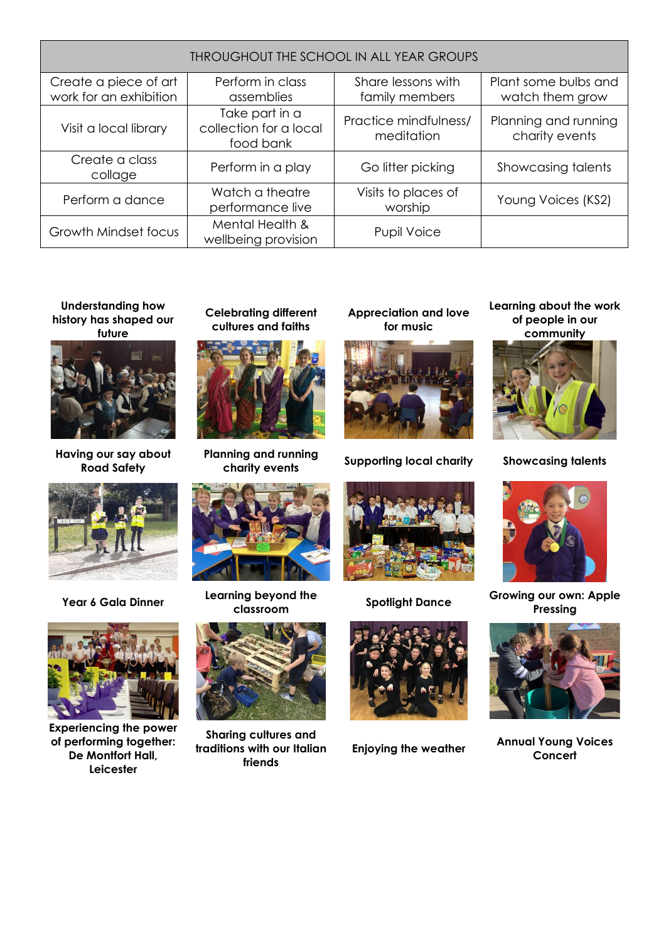| THROUGHOUT THE SCHOOL IN ALL YEAR GROUPS        |                                                       |                                      |                                         |
|-------------------------------------------------|-------------------------------------------------------|--------------------------------------|-----------------------------------------|
| Create a piece of art<br>work for an exhibition | Perform in class<br>assemblies                        | Share lessons with<br>family members | Plant some bulbs and<br>watch them grow |
| Visit a local library                           | Take part in a<br>collection for a local<br>food bank | Practice mindfulness/<br>meditation  | Planning and running<br>charity events  |
| Create a class<br>collage                       | Perform in a play                                     | Go litter picking                    | Showcasing talents                      |
| Perform a dance                                 | Watch a theatre<br>performance live                   | Visits to places of<br>worship       | Young Voices (KS2)                      |
| Growth Mindset focus                            | Mental Health &<br>wellbeing provision                | <b>Pupil Voice</b>                   |                                         |

## **Understanding how history has shaped our future**



**Having our say about Road Safety**





**Experiencing the power of performing together: De Montfort Hall, Leicester**

**Celebrating different cultures and faiths**



**Planning and running** 



**Year 6 Gala Dinner Learning beyond the** 



**Sharing cultures and traditions with our Italian friends**

**Appreciation and love for music**



**charity events Supporting local charity Showcasing talents**





**Learning about the work of people in our community** 





**classroom Spotlight Dance Growing our own: Apple Pressing**



**Enjoying the weather Annual Young Voices Concert**